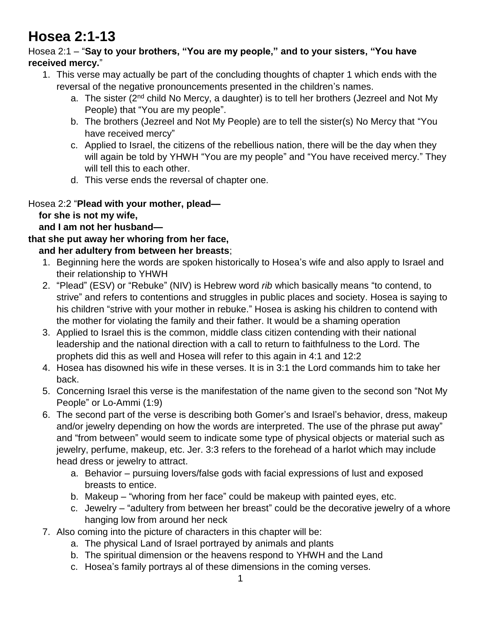# **Hosea 2:1-13**

#### Hosea 2:1 – "**Say to your brothers, "You are my people," and to your sisters, "You have received mercy.**"

- 1. This verse may actually be part of the concluding thoughts of chapter 1 which ends with the reversal of the negative pronouncements presented in the children's names.
	- a. The sister (2<sup>nd</sup> child No Mercy, a daughter) is to tell her brothers (Jezreel and Not My People) that "You are my people".
	- b. The brothers (Jezreel and Not My People) are to tell the sister(s) No Mercy that "You have received mercy"
	- c. Applied to Israel, the citizens of the rebellious nation, there will be the day when they will again be told by YHWH "You are my people" and "You have received mercy." They will tell this to each other.
	- d. This verse ends the reversal of chapter one.

# Hosea 2:2 "**Plead with your mother, plead—**

 **for she is not my wife,**

### **and I am not her husband—**

# **that she put away her whoring from her face,**

# **and her adultery from between her breasts**;

- 1. Beginning here the words are spoken historically to Hosea's wife and also apply to Israel and their relationship to YHWH
- 2. "Plead" (ESV) or "Rebuke" (NIV) is Hebrew word *rib* which basically means "to contend, to strive" and refers to contentions and struggles in public places and society. Hosea is saying to his children "strive with your mother in rebuke." Hosea is asking his children to contend with the mother for violating the family and their father. It would be a shaming operation
- 3. Applied to Israel this is the common, middle class citizen contending with their national leadership and the national direction with a call to return to faithfulness to the Lord. The prophets did this as well and Hosea will refer to this again in 4:1 and 12:2
- 4. Hosea has disowned his wife in these verses. It is in 3:1 the Lord commands him to take her back.
- 5. Concerning Israel this verse is the manifestation of the name given to the second son "Not My People" or Lo-Ammi (1:9)
- 6. The second part of the verse is describing both Gomer's and Israel's behavior, dress, makeup and/or jewelry depending on how the words are interpreted. The use of the phrase put away" and "from between" would seem to indicate some type of physical objects or material such as jewelry, perfume, makeup, etc. Jer. 3:3 refers to the forehead of a harlot which may include head dress or jewelry to attract.
	- a. Behavior pursuing lovers/false gods with facial expressions of lust and exposed breasts to entice.
	- b. Makeup "whoring from her face" could be makeup with painted eyes, etc.
	- c. Jewelry "adultery from between her breast" could be the decorative jewelry of a whore hanging low from around her neck
- 7. Also coming into the picture of characters in this chapter will be:
	- a. The physical Land of Israel portrayed by animals and plants
	- b. The spiritual dimension or the heavens respond to YHWH and the Land
	- c. Hosea's family portrays al of these dimensions in the coming verses.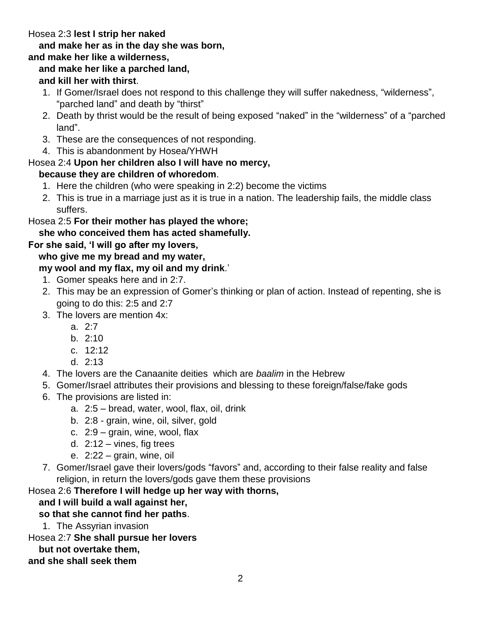# Hosea 2:3 **lest I strip her naked**

# **and make her as in the day she was born,**

# **and make her like a wilderness,**

### **and make her like a parched land,**

### **and kill her with thirst**.

- 1. If Gomer/Israel does not respond to this challenge they will suffer nakedness, "wilderness", "parched land" and death by "thirst"
- 2. Death by thrist would be the result of being exposed "naked" in the "wilderness" of a "parched land".
- 3. These are the consequences of not responding.
- 4. This is abandonment by Hosea/YHWH

# Hosea 2:4 **Upon her children also I will have no mercy,**

# **because they are children of whoredom**.

- 1. Here the children (who were speaking in 2:2) become the victims
- 2. This is true in a marriage just as it is true in a nation. The leadership fails, the middle class suffers.

# Hosea 2:5 **For their mother has played the whore;**

### **she who conceived them has acted shamefully.**

#### **For she said, 'I will go after my lovers,**

# **who give me my bread and my water,**

# **my wool and my flax, my oil and my drink**.'

- 1. Gomer speaks here and in 2:7.
- 2. This may be an expression of Gomer's thinking or plan of action. Instead of repenting, she is going to do this: 2:5 and 2:7
- 3. The lovers are mention 4x:
	- a.  $2.7$
	- b. 2:10
	- c. 12:12
	- d. 2:13
- 4. The lovers are the Canaanite deities which are *baalim* in the Hebrew
- 5. Gomer/Israel attributes their provisions and blessing to these foreign/false/fake gods
- 6. The provisions are listed in:
	- a. 2:5 bread, water, wool, flax, oil, drink
	- b. 2:8 grain, wine, oil, silver, gold
	- c. 2:9 grain, wine, wool, flax
	- d.  $2:12 -$  vines, fig trees
	- e. 2:22 grain, wine, oil
- 7. Gomer/Israel gave their lovers/gods "favors" and, according to their false reality and false religion, in return the lovers/gods gave them these provisions

# Hosea 2:6 **Therefore I will hedge up her way with thorns,**

# **and I will build a wall against her,**

# **so that she cannot find her paths**.

1. The Assyrian invasion

#### Hosea 2:7 **She shall pursue her lovers**

#### **but not overtake them,**

#### **and she shall seek them**